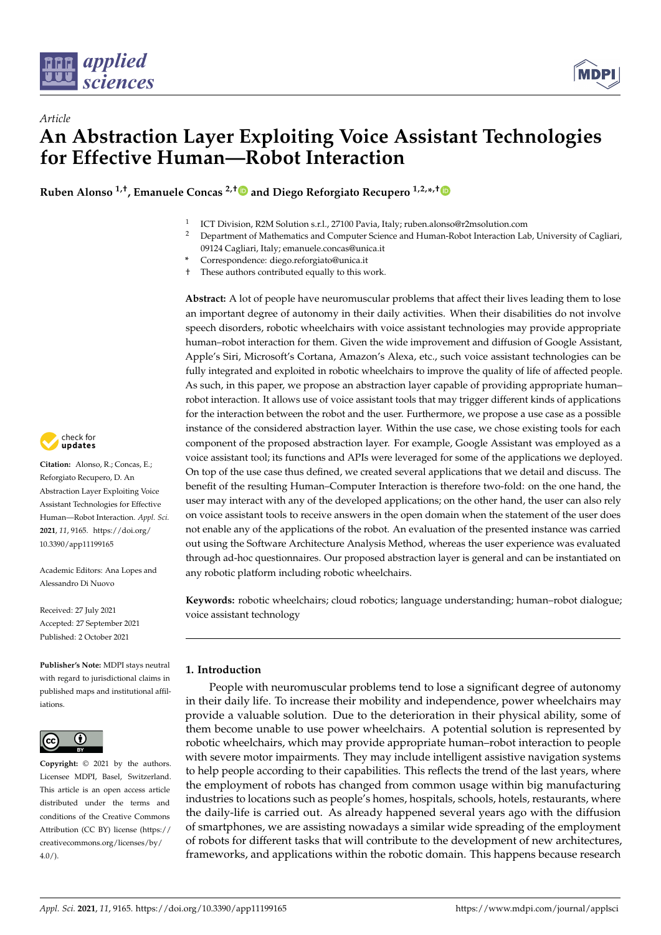



**Ruben Alonso 1,†, Emanuele Concas 2,[†](https://orcid.org/0000-0002-9461-1501) and Diego Reforgiato Recupero 1,2,\* ,[†](https://orcid.org/0000-0001-8646-6183)**

- 1 ICT Division, R2M Solution s.r.l., 27100 Pavia, Italy; ruben.alonso@r2msolution.com
- <sup>2</sup> Department of Mathematics and Computer Science and Human-Robot Interaction Lab, University of Cagliari, 09124 Cagliari, Italy; emanuele.concas@unica.it
- **\*** Correspondence: diego.reforgiato@unica.it
- † These authors contributed equally to this work.

**Abstract:** A lot of people have neuromuscular problems that affect their lives leading them to lose an important degree of autonomy in their daily activities. When their disabilities do not involve speech disorders, robotic wheelchairs with voice assistant technologies may provide appropriate human–robot interaction for them. Given the wide improvement and diffusion of Google Assistant, Apple's Siri, Microsoft's Cortana, Amazon's Alexa, etc., such voice assistant technologies can be fully integrated and exploited in robotic wheelchairs to improve the quality of life of affected people. As such, in this paper, we propose an abstraction layer capable of providing appropriate human– robot interaction. It allows use of voice assistant tools that may trigger different kinds of applications for the interaction between the robot and the user. Furthermore, we propose a use case as a possible instance of the considered abstraction layer. Within the use case, we chose existing tools for each component of the proposed abstraction layer. For example, Google Assistant was employed as a voice assistant tool; its functions and APIs were leveraged for some of the applications we deployed. On top of the use case thus defined, we created several applications that we detail and discuss. The benefit of the resulting Human–Computer Interaction is therefore two-fold: on the one hand, the user may interact with any of the developed applications; on the other hand, the user can also rely on voice assistant tools to receive answers in the open domain when the statement of the user does not enable any of the applications of the robot. An evaluation of the presented instance was carried out using the Software Architecture Analysis Method, whereas the user experience was evaluated through ad-hoc questionnaires. Our proposed abstraction layer is general and can be instantiated on any robotic platform including robotic wheelchairs.

**Keywords:** robotic wheelchairs; cloud robotics; language understanding; human–robot dialogue; voice assistant technology

# **1. Introduction**

People with neuromuscular problems tend to lose a significant degree of autonomy in their daily life. To increase their mobility and independence, power wheelchairs may provide a valuable solution. Due to the deterioration in their physical ability, some of them become unable to use power wheelchairs. A potential solution is represented by robotic wheelchairs, which may provide appropriate human–robot interaction to people with severe motor impairments. They may include intelligent assistive navigation systems to help people according to their capabilities. This reflects the trend of the last years, where the employment of robots has changed from common usage within big manufacturing industries to locations such as people's homes, hospitals, schools, hotels, restaurants, where the daily-life is carried out. As already happened several years ago with the diffusion of smartphones, we are assisting nowadays a similar wide spreading of the employment of robots for different tasks that will contribute to the development of new architectures, frameworks, and applications within the robotic domain. This happens because research



**Citation:** Alonso, R.; Concas, E.; Reforgiato Recupero, D. An Abstraction Layer Exploiting Voice Assistant Technologies for Effective Human—Robot Interaction. *Appl. Sci.* **2021**, *11*, 9165. [https://doi.org/](https://doi.org/10.3390/app11199165) [10.3390/app11199165](https://doi.org/10.3390/app11199165)

Academic Editors: Ana Lopes and Alessandro Di Nuovo

Received: 27 July 2021 Accepted: 27 September 2021 Published: 2 October 2021

**Publisher's Note:** MDPI stays neutral with regard to jurisdictional claims in published maps and institutional affiliations.



**Copyright:** © 2021 by the authors. Licensee MDPI, Basel, Switzerland. This article is an open access article distributed under the terms and conditions of the Creative Commons Attribution (CC BY) license (https:/[/](https://creativecommons.org/licenses/by/4.0/) [creativecommons.org/licenses/by/](https://creativecommons.org/licenses/by/4.0/)  $4.0/$ ).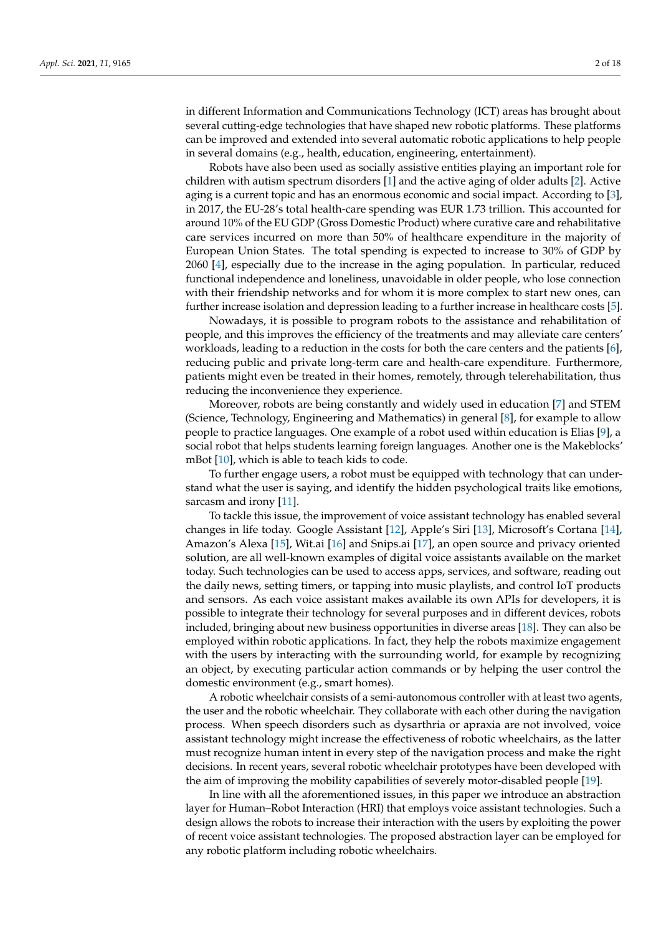in different Information and Communications Technology (ICT) areas has brought about several cutting-edge technologies that have shaped new robotic platforms. These platforms can be improved and extended into several automatic robotic applications to help people in several domains (e.g., health, education, engineering, entertainment).

Robots have also been used as socially assistive entities playing an important role for children with autism spectrum disorders [\[1\]](#page-15-0) and the active aging of older adults [\[2\]](#page-15-1). Active aging is a current topic and has an enormous economic and social impact. According to [\[3\]](#page-15-2), in 2017, the EU-28's total health-care spending was EUR 1.73 trillion. This accounted for around 10% of the EU GDP (Gross Domestic Product) where curative care and rehabilitative care services incurred on more than 50% of healthcare expenditure in the majority of European Union States. The total spending is expected to increase to 30% of GDP by 2060 [\[4\]](#page-15-3), especially due to the increase in the aging population. In particular, reduced functional independence and loneliness, unavoidable in older people, who lose connection with their friendship networks and for whom it is more complex to start new ones, can further increase isolation and depression leading to a further increase in healthcare costs [\[5\]](#page-15-4).

Nowadays, it is possible to program robots to the assistance and rehabilitation of people, and this improves the efficiency of the treatments and may alleviate care centers' workloads, leading to a reduction in the costs for both the care centers and the patients [\[6\]](#page-15-5), reducing public and private long-term care and health-care expenditure. Furthermore, patients might even be treated in their homes, remotely, through telerehabilitation, thus reducing the inconvenience they experience.

Moreover, robots are being constantly and widely used in education [\[7\]](#page-15-6) and STEM (Science, Technology, Engineering and Mathematics) in general [\[8\]](#page-15-7), for example to allow people to practice languages. One example of a robot used within education is Elias [\[9\]](#page-15-8), a social robot that helps students learning foreign languages. Another one is the Makeblocks' mBot [\[10\]](#page-15-9), which is able to teach kids to code.

To further engage users, a robot must be equipped with technology that can understand what the user is saying, and identify the hidden psychological traits like emotions, sarcasm and irony [\[11\]](#page-15-10).

To tackle this issue, the improvement of voice assistant technology has enabled several changes in life today. Google Assistant [\[12\]](#page-15-11), Apple's Siri [\[13\]](#page-15-12), Microsoft's Cortana [\[14\]](#page-15-13), Amazon's Alexa [\[15\]](#page-15-14), Wit.ai [\[16\]](#page-15-15) and Snips.ai [\[17\]](#page-15-16), an open source and privacy oriented solution, are all well-known examples of digital voice assistants available on the market today. Such technologies can be used to access apps, services, and software, reading out the daily news, setting timers, or tapping into music playlists, and control IoT products and sensors. As each voice assistant makes available its own APIs for developers, it is possible to integrate their technology for several purposes and in different devices, robots included, bringing about new business opportunities in diverse areas [\[18\]](#page-15-17). They can also be employed within robotic applications. In fact, they help the robots maximize engagement with the users by interacting with the surrounding world, for example by recognizing an object, by executing particular action commands or by helping the user control the domestic environment (e.g., smart homes).

A robotic wheelchair consists of a semi-autonomous controller with at least two agents, the user and the robotic wheelchair. They collaborate with each other during the navigation process. When speech disorders such as dysarthria or apraxia are not involved, voice assistant technology might increase the effectiveness of robotic wheelchairs, as the latter must recognize human intent in every step of the navigation process and make the right decisions. In recent years, several robotic wheelchair prototypes have been developed with the aim of improving the mobility capabilities of severely motor-disabled people [\[19\]](#page-15-18).

In line with all the aforementioned issues, in this paper we introduce an abstraction layer for Human–Robot Interaction (HRI) that employs voice assistant technologies. Such a design allows the robots to increase their interaction with the users by exploiting the power of recent voice assistant technologies. The proposed abstraction layer can be employed for any robotic platform including robotic wheelchairs.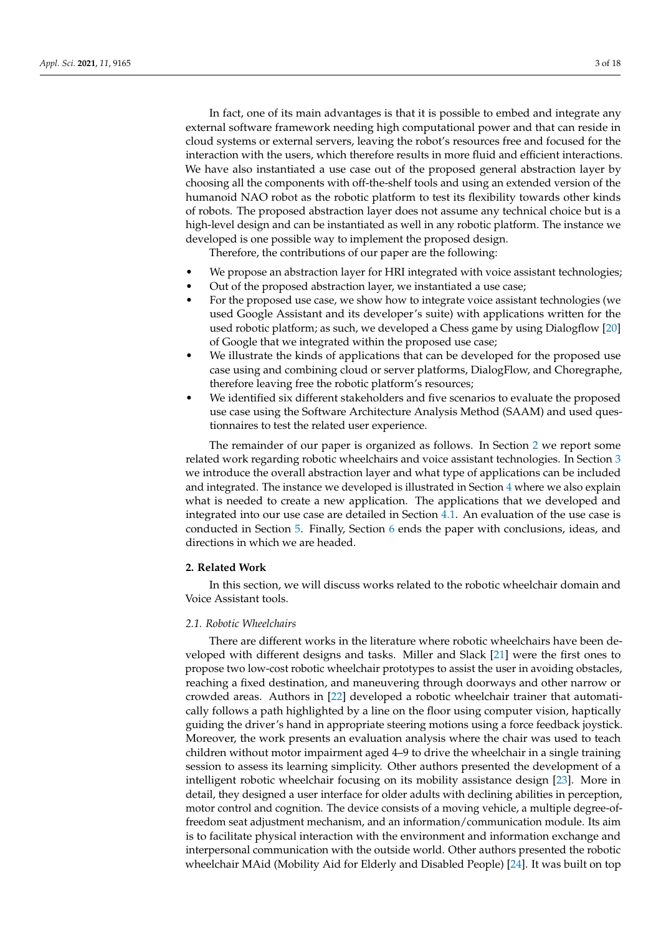In fact, one of its main advantages is that it is possible to embed and integrate any external software framework needing high computational power and that can reside in cloud systems or external servers, leaving the robot's resources free and focused for the interaction with the users, which therefore results in more fluid and efficient interactions. We have also instantiated a use case out of the proposed general abstraction layer by choosing all the components with off-the-shelf tools and using an extended version of the humanoid NAO robot as the robotic platform to test its flexibility towards other kinds of robots. The proposed abstraction layer does not assume any technical choice but is a high-level design and can be instantiated as well in any robotic platform. The instance we developed is one possible way to implement the proposed design.

Therefore, the contributions of our paper are the following:

- We propose an abstraction layer for HRI integrated with voice assistant technologies;
- Out of the proposed abstraction layer, we instantiated a use case;
- For the proposed use case, we show how to integrate voice assistant technologies (we used Google Assistant and its developer's suite) with applications written for the used robotic platform; as such, we developed a Chess game by using Dialogflow [\[20\]](#page-15-19) of Google that we integrated within the proposed use case;
- We illustrate the kinds of applications that can be developed for the proposed use case using and combining cloud or server platforms, DialogFlow, and Choregraphe, therefore leaving free the robotic platform's resources;
- We identified six different stakeholders and five scenarios to evaluate the proposed use case using the Software Architecture Analysis Method (SAAM) and used questionnaires to test the related user experience.

The remainder of our paper is organized as follows. In Section [2](#page-2-0) we report some related work regarding robotic wheelchairs and voice assistant technologies. In Section [3](#page-4-0) we introduce the overall abstraction layer and what type of applications can be included and integrated. The instance we developed is illustrated in Section [4](#page-6-0) where we also explain what is needed to create a new application. The applications that we developed and integrated into our use case are detailed in Section [4.1.](#page-7-0) An evaluation of the use case is conducted in Section [5.](#page-10-0) Finally, Section [6](#page-14-0) ends the paper with conclusions, ideas, and directions in which we are headed.

# <span id="page-2-0"></span>**2. Related Work**

In this section, we will discuss works related to the robotic wheelchair domain and Voice Assistant tools.

# *2.1. Robotic Wheelchairs*

There are different works in the literature where robotic wheelchairs have been developed with different designs and tasks. Miller and Slack [\[21\]](#page-15-20) were the first ones to propose two low-cost robotic wheelchair prototypes to assist the user in avoiding obstacles, reaching a fixed destination, and maneuvering through doorways and other narrow or crowded areas. Authors in [\[22\]](#page-15-21) developed a robotic wheelchair trainer that automatically follows a path highlighted by a line on the floor using computer vision, haptically guiding the driver's hand in appropriate steering motions using a force feedback joystick. Moreover, the work presents an evaluation analysis where the chair was used to teach children without motor impairment aged 4–9 to drive the wheelchair in a single training session to assess its learning simplicity. Other authors presented the development of a intelligent robotic wheelchair focusing on its mobility assistance design [\[23\]](#page-15-22). More in detail, they designed a user interface for older adults with declining abilities in perception, motor control and cognition. The device consists of a moving vehicle, a multiple degree-offreedom seat adjustment mechanism, and an information/communication module. Its aim is to facilitate physical interaction with the environment and information exchange and interpersonal communication with the outside world. Other authors presented the robotic wheelchair MAid (Mobility Aid for Elderly and Disabled People) [\[24\]](#page-15-23). It was built on top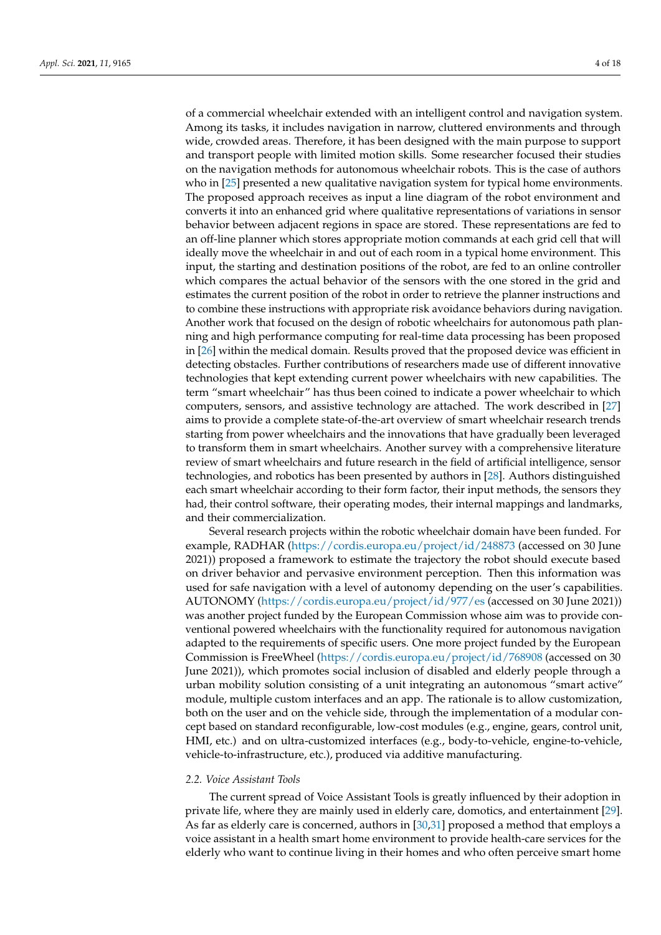of a commercial wheelchair extended with an intelligent control and navigation system. Among its tasks, it includes navigation in narrow, cluttered environments and through wide, crowded areas. Therefore, it has been designed with the main purpose to support and transport people with limited motion skills. Some researcher focused their studies on the navigation methods for autonomous wheelchair robots. This is the case of authors who in [\[25\]](#page-15-24) presented a new qualitative navigation system for typical home environments. The proposed approach receives as input a line diagram of the robot environment and converts it into an enhanced grid where qualitative representations of variations in sensor behavior between adjacent regions in space are stored. These representations are fed to an off-line planner which stores appropriate motion commands at each grid cell that will ideally move the wheelchair in and out of each room in a typical home environment. This input, the starting and destination positions of the robot, are fed to an online controller which compares the actual behavior of the sensors with the one stored in the grid and estimates the current position of the robot in order to retrieve the planner instructions and to combine these instructions with appropriate risk avoidance behaviors during navigation. Another work that focused on the design of robotic wheelchairs for autonomous path planning and high performance computing for real-time data processing has been proposed in [\[26\]](#page-15-25) within the medical domain. Results proved that the proposed device was efficient in detecting obstacles. Further contributions of researchers made use of different innovative technologies that kept extending current power wheelchairs with new capabilities. The term "smart wheelchair" has thus been coined to indicate a power wheelchair to which computers, sensors, and assistive technology are attached. The work described in [\[27\]](#page-15-26) aims to provide a complete state-of-the-art overview of smart wheelchair research trends starting from power wheelchairs and the innovations that have gradually been leveraged to transform them in smart wheelchairs. Another survey with a comprehensive literature review of smart wheelchairs and future research in the field of artificial intelligence, sensor technologies, and robotics has been presented by authors in [\[28\]](#page-16-0). Authors distinguished each smart wheelchair according to their form factor, their input methods, the sensors they had, their control software, their operating modes, their internal mappings and landmarks, and their commercialization.

Several research projects within the robotic wheelchair domain have been funded. For example, RADHAR [\(https://cordis.europa.eu/project/id/248873](https://cordis.europa.eu/project/id/248873) (accessed on 30 June 2021)) proposed a framework to estimate the trajectory the robot should execute based on driver behavior and pervasive environment perception. Then this information was used for safe navigation with a level of autonomy depending on the user's capabilities. AUTONOMY [\(https://cordis.europa.eu/project/id/977/es](https://cordis.europa.eu/project/id/977/es) (accessed on 30 June 2021)) was another project funded by the European Commission whose aim was to provide conventional powered wheelchairs with the functionality required for autonomous navigation adapted to the requirements of specific users. One more project funded by the European Commission is FreeWheel [\(https://cordis.europa.eu/project/id/768908](https://cordis.europa.eu/project/id/768908) (accessed on 30 June 2021)), which promotes social inclusion of disabled and elderly people through a urban mobility solution consisting of a unit integrating an autonomous "smart active" module, multiple custom interfaces and an app. The rationale is to allow customization, both on the user and on the vehicle side, through the implementation of a modular concept based on standard reconfigurable, low-cost modules (e.g., engine, gears, control unit, HMI, etc.) and on ultra-customized interfaces (e.g., body-to-vehicle, engine-to-vehicle, vehicle-to-infrastructure, etc.), produced via additive manufacturing.

### *2.2. Voice Assistant Tools*

The current spread of Voice Assistant Tools is greatly influenced by their adoption in private life, where they are mainly used in elderly care, domotics, and entertainment [\[29\]](#page-16-1). As far as elderly care is concerned, authors in [\[30](#page-16-2)[,31\]](#page-16-3) proposed a method that employs a voice assistant in a health smart home environment to provide health-care services for the elderly who want to continue living in their homes and who often perceive smart home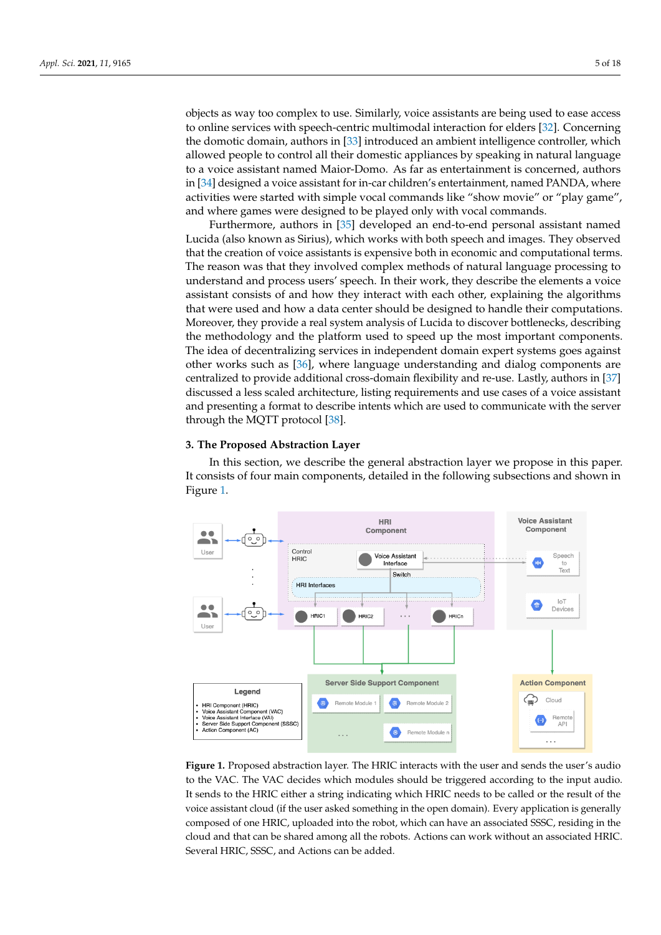objects as way too complex to use. Similarly, voice assistants are being used to ease access to online services with speech-centric multimodal interaction for elders [\[32\]](#page-16-4). Concerning the domotic domain, authors in [\[33\]](#page-16-5) introduced an ambient intelligence controller, which allowed people to control all their domestic appliances by speaking in natural language to a voice assistant named Maior-Domo. As far as entertainment is concerned, authors in [\[34\]](#page-16-6) designed a voice assistant for in-car children's entertainment, named PANDA, where activities were started with simple vocal commands like "show movie" or "play game", and where games were designed to be played only with vocal commands.

Furthermore, authors in [\[35\]](#page-16-7) developed an end-to-end personal assistant named Lucida (also known as Sirius), which works with both speech and images. They observed that the creation of voice assistants is expensive both in economic and computational terms. The reason was that they involved complex methods of natural language processing to understand and process users' speech. In their work, they describe the elements a voice assistant consists of and how they interact with each other, explaining the algorithms that were used and how a data center should be designed to handle their computations. Moreover, they provide a real system analysis of Lucida to discover bottlenecks, describing the methodology and the platform used to speed up the most important components. The idea of decentralizing services in independent domain expert systems goes against other works such as [\[36\]](#page-16-8), where language understanding and dialog components are centralized to provide additional cross-domain flexibility and re-use. Lastly, authors in [\[37\]](#page-16-9) discussed a less scaled architecture, listing requirements and use cases of a voice assistant and presenting a format to describe intents which are used to communicate with the server through the MQTT protocol [\[38\]](#page-16-10).

# <span id="page-4-0"></span>**3. The Proposed Abstraction Layer**

In this section, we describe the general abstraction layer we propose in this paper. It consists of four main components, detailed in the following subsections and shown in Figure [1.](#page-4-1)

<span id="page-4-1"></span>

**Figure 1.** Proposed abstraction layer. The HRIC interacts with the user and sends the user's audio to the VAC. The VAC decides which modules should be triggered according to the input audio. It sends to the HRIC either a string indicating which HRIC needs to be called or the result of the voice assistant cloud (if the user asked something in the open domain). Every application is generally composed of one HRIC, uploaded into the robot, which can have an associated SSSC, residing in the cloud and that can be shared among all the robots. Actions can work without an associated HRIC. Several HRIC, SSSC, and Actions can be added.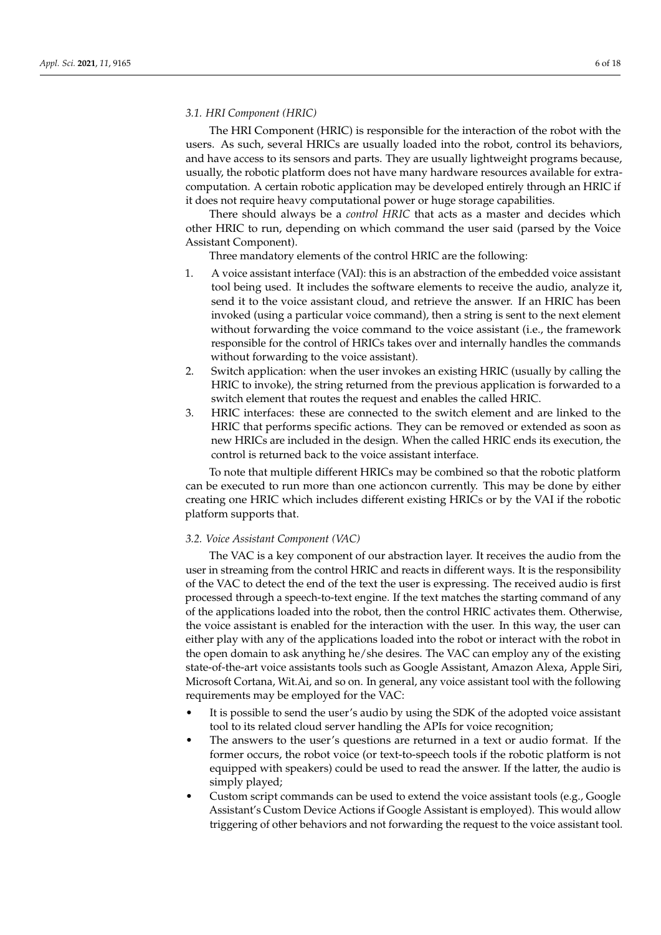## *3.1. HRI Component (HRIC)*

The HRI Component (HRIC) is responsible for the interaction of the robot with the users. As such, several HRICs are usually loaded into the robot, control its behaviors, and have access to its sensors and parts. They are usually lightweight programs because, usually, the robotic platform does not have many hardware resources available for extracomputation. A certain robotic application may be developed entirely through an HRIC if it does not require heavy computational power or huge storage capabilities.

There should always be a *control HRIC* that acts as a master and decides which other HRIC to run, depending on which command the user said (parsed by the Voice Assistant Component).

Three mandatory elements of the control HRIC are the following:

- 1. A voice assistant interface (VAI): this is an abstraction of the embedded voice assistant tool being used. It includes the software elements to receive the audio, analyze it, send it to the voice assistant cloud, and retrieve the answer. If an HRIC has been invoked (using a particular voice command), then a string is sent to the next element without forwarding the voice command to the voice assistant (i.e., the framework responsible for the control of HRICs takes over and internally handles the commands without forwarding to the voice assistant).
- 2. Switch application: when the user invokes an existing HRIC (usually by calling the HRIC to invoke), the string returned from the previous application is forwarded to a switch element that routes the request and enables the called HRIC.
- 3. HRIC interfaces: these are connected to the switch element and are linked to the HRIC that performs specific actions. They can be removed or extended as soon as new HRICs are included in the design. When the called HRIC ends its execution, the control is returned back to the voice assistant interface.

To note that multiple different HRICs may be combined so that the robotic platform can be executed to run more than one actioncon currently. This may be done by either creating one HRIC which includes different existing HRICs or by the VAI if the robotic platform supports that.

### <span id="page-5-0"></span>*3.2. Voice Assistant Component (VAC)*

The VAC is a key component of our abstraction layer. It receives the audio from the user in streaming from the control HRIC and reacts in different ways. It is the responsibility of the VAC to detect the end of the text the user is expressing. The received audio is first processed through a speech-to-text engine. If the text matches the starting command of any of the applications loaded into the robot, then the control HRIC activates them. Otherwise, the voice assistant is enabled for the interaction with the user. In this way, the user can either play with any of the applications loaded into the robot or interact with the robot in the open domain to ask anything he/she desires. The VAC can employ any of the existing state-of-the-art voice assistants tools such as Google Assistant, Amazon Alexa, Apple Siri, Microsoft Cortana, Wit.Ai, and so on. In general, any voice assistant tool with the following requirements may be employed for the VAC:

- It is possible to send the user's audio by using the SDK of the adopted voice assistant tool to its related cloud server handling the APIs for voice recognition;
- The answers to the user's questions are returned in a text or audio format. If the former occurs, the robot voice (or text-to-speech tools if the robotic platform is not equipped with speakers) could be used to read the answer. If the latter, the audio is simply played;
- Custom script commands can be used to extend the voice assistant tools (e.g., Google Assistant's Custom Device Actions if Google Assistant is employed). This would allow triggering of other behaviors and not forwarding the request to the voice assistant tool.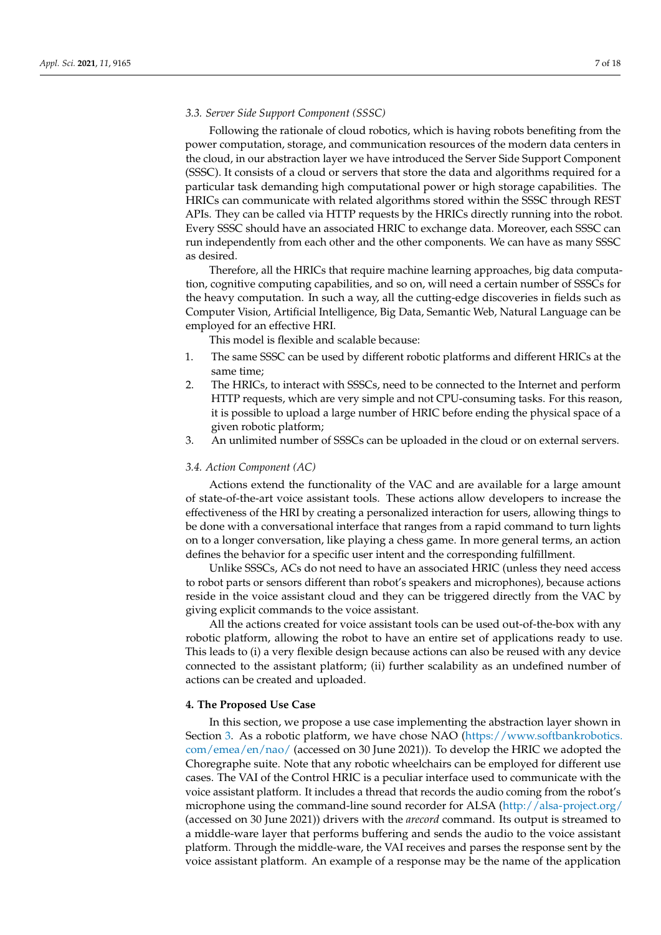### *3.3. Server Side Support Component (SSSC)*

Following the rationale of cloud robotics, which is having robots benefiting from the power computation, storage, and communication resources of the modern data centers in the cloud, in our abstraction layer we have introduced the Server Side Support Component (SSSC). It consists of a cloud or servers that store the data and algorithms required for a particular task demanding high computational power or high storage capabilities. The HRICs can communicate with related algorithms stored within the SSSC through REST APIs. They can be called via HTTP requests by the HRICs directly running into the robot. Every SSSC should have an associated HRIC to exchange data. Moreover, each SSSC can run independently from each other and the other components. We can have as many SSSC as desired.

Therefore, all the HRICs that require machine learning approaches, big data computation, cognitive computing capabilities, and so on, will need a certain number of SSSCs for the heavy computation. In such a way, all the cutting-edge discoveries in fields such as Computer Vision, Artificial Intelligence, Big Data, Semantic Web, Natural Language can be employed for an effective HRI.

This model is flexible and scalable because:

- 1. The same SSSC can be used by different robotic platforms and different HRICs at the same time;
- 2. The HRICs, to interact with SSSCs, need to be connected to the Internet and perform HTTP requests, which are very simple and not CPU-consuming tasks. For this reason, it is possible to upload a large number of HRIC before ending the physical space of a given robotic platform;
- 3. An unlimited number of SSSCs can be uploaded in the cloud or on external servers.

### *3.4. Action Component (AC)*

Actions extend the functionality of the VAC and are available for a large amount of state-of-the-art voice assistant tools. These actions allow developers to increase the effectiveness of the HRI by creating a personalized interaction for users, allowing things to be done with a conversational interface that ranges from a rapid command to turn lights on to a longer conversation, like playing a chess game. In more general terms, an action defines the behavior for a specific user intent and the corresponding fulfillment.

Unlike SSSCs, ACs do not need to have an associated HRIC (unless they need access to robot parts or sensors different than robot's speakers and microphones), because actions reside in the voice assistant cloud and they can be triggered directly from the VAC by giving explicit commands to the voice assistant.

All the actions created for voice assistant tools can be used out-of-the-box with any robotic platform, allowing the robot to have an entire set of applications ready to use. This leads to (i) a very flexible design because actions can also be reused with any device connected to the assistant platform; (ii) further scalability as an undefined number of actions can be created and uploaded.

#### <span id="page-6-0"></span>**4. The Proposed Use Case**

In this section, we propose a use case implementing the abstraction layer shown in Section [3.](#page-4-0) As a robotic platform, we have chose NAO [\(https://www.softbankrobotics.](https://www.softbankrobotics.com/emea/en/nao/) [com/emea/en/nao/](https://www.softbankrobotics.com/emea/en/nao/) (accessed on 30 June 2021)). To develop the HRIC we adopted the Choregraphe suite. Note that any robotic wheelchairs can be employed for different use cases. The VAI of the Control HRIC is a peculiar interface used to communicate with the voice assistant platform. It includes a thread that records the audio coming from the robot's microphone using the command-line sound recorder for ALSA [\(http://alsa-project.org/](http://alsa-project.org/) (accessed on 30 June 2021)) drivers with the *arecord* command. Its output is streamed to a middle-ware layer that performs buffering and sends the audio to the voice assistant platform. Through the middle-ware, the VAI receives and parses the response sent by the voice assistant platform. An example of a response may be the name of the application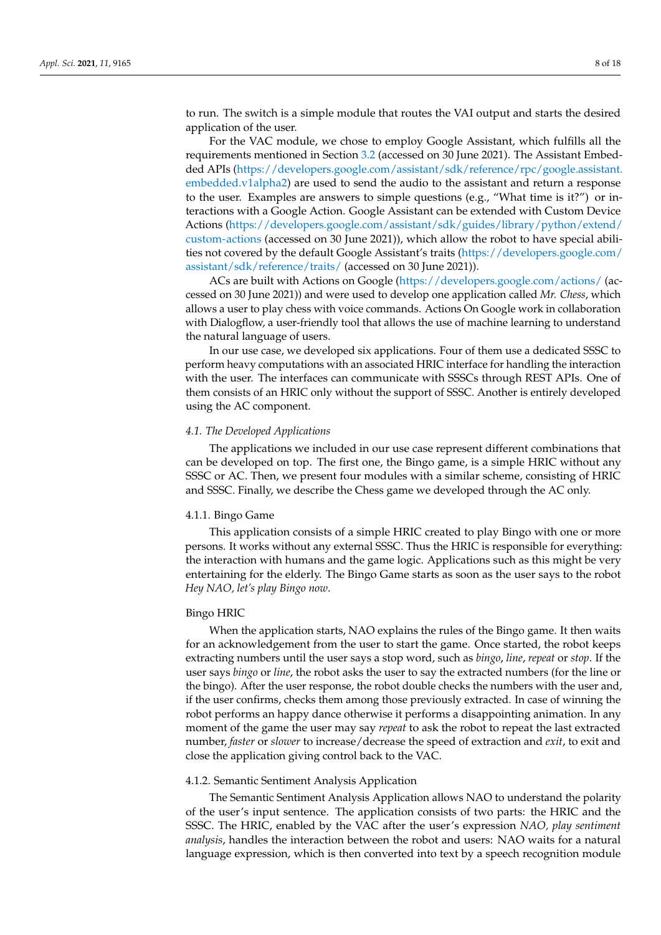to run. The switch is a simple module that routes the VAI output and starts the desired application of the user.

For the VAC module, we chose to employ Google Assistant, which fulfills all the requirements mentioned in Section [3.2](#page-5-0) (accessed on 30 June 2021). The Assistant Embedded APIs [\(https://developers.google.com/assistant/sdk/reference/rpc/google.assistant.](https://developers.google.com/assistant/sdk/reference/rpc/google.assistant.embedded.v1alpha2) [embedded.v1alpha2\)](https://developers.google.com/assistant/sdk/reference/rpc/google.assistant.embedded.v1alpha2) are used to send the audio to the assistant and return a response to the user. Examples are answers to simple questions (e.g., "What time is it?") or interactions with a Google Action. Google Assistant can be extended with Custom Device Actions [\(https://developers.google.com/assistant/sdk/guides/library/python/extend/](https://developers.google.com/assistant/sdk/guides/library/python/extend/custom-actions) [custom-actions](https://developers.google.com/assistant/sdk/guides/library/python/extend/custom-actions) (accessed on 30 June 2021)), which allow the robot to have special abilities not covered by the default Google Assistant's traits [\(https://developers.google.com/](https://developers.google.com/assistant/sdk/reference/traits/) [assistant/sdk/reference/traits/](https://developers.google.com/assistant/sdk/reference/traits/) (accessed on 30 June 2021)).

ACs are built with Actions on Google [\(https://developers.google.com/actions/](https://developers.google.com/actions/) (accessed on 30 June 2021)) and were used to develop one application called *Mr. Chess*, which allows a user to play chess with voice commands. Actions On Google work in collaboration with Dialogflow, a user-friendly tool that allows the use of machine learning to understand the natural language of users.

In our use case, we developed six applications. Four of them use a dedicated SSSC to perform heavy computations with an associated HRIC interface for handling the interaction with the user. The interfaces can communicate with SSSCs through REST APIs. One of them consists of an HRIC only without the support of SSSC. Another is entirely developed using the AC component.

### <span id="page-7-0"></span>*4.1. The Developed Applications*

The applications we included in our use case represent different combinations that can be developed on top. The first one, the Bingo game, is a simple HRIC without any SSSC or AC. Then, we present four modules with a similar scheme, consisting of HRIC and SSSC. Finally, we describe the Chess game we developed through the AC only.

#### 4.1.1. Bingo Game

This application consists of a simple HRIC created to play Bingo with one or more persons. It works without any external SSSC. Thus the HRIC is responsible for everything: the interaction with humans and the game logic. Applications such as this might be very entertaining for the elderly. The Bingo Game starts as soon as the user says to the robot *Hey NAO, let's play Bingo now*.

## Bingo HRIC

When the application starts, NAO explains the rules of the Bingo game. It then waits for an acknowledgement from the user to start the game. Once started, the robot keeps extracting numbers until the user says a stop word, such as *bingo*, *line*, *repeat* or *stop*. If the user says *bingo* or *line*, the robot asks the user to say the extracted numbers (for the line or the bingo). After the user response, the robot double checks the numbers with the user and, if the user confirms, checks them among those previously extracted. In case of winning the robot performs an happy dance otherwise it performs a disappointing animation. In any moment of the game the user may say *repeat* to ask the robot to repeat the last extracted number, *faster* or *slower* to increase/decrease the speed of extraction and *exit*, to exit and close the application giving control back to the VAC.

#### 4.1.2. Semantic Sentiment Analysis Application

The Semantic Sentiment Analysis Application allows NAO to understand the polarity of the user's input sentence. The application consists of two parts: the HRIC and the SSSC. The HRIC, enabled by the VAC after the user's expression *NAO, play sentiment analysis*, handles the interaction between the robot and users: NAO waits for a natural language expression, which is then converted into text by a speech recognition module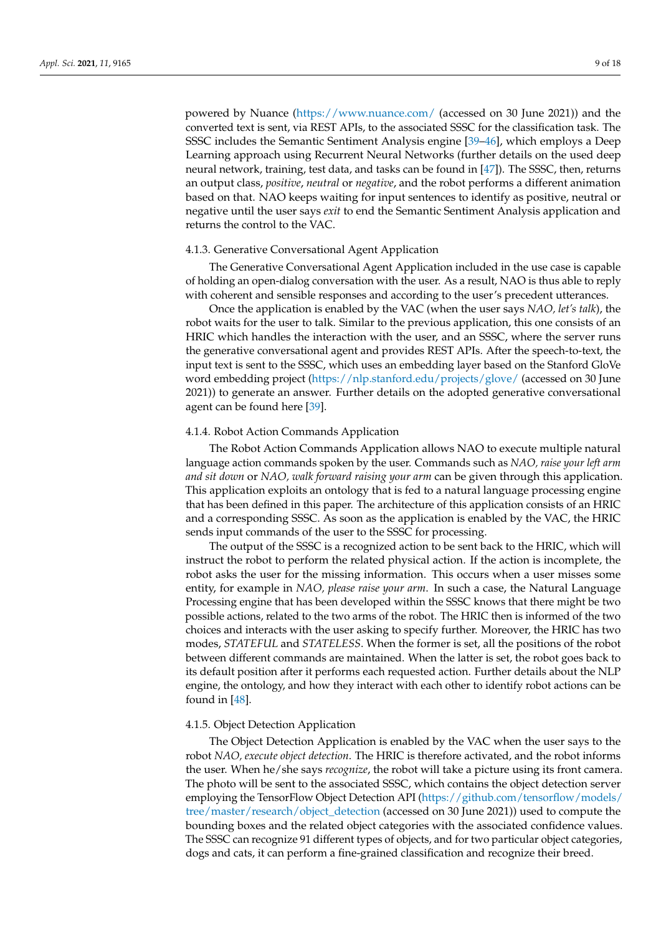powered by Nuance [\(https://www.nuance.com/](https://www.nuance.com/) (accessed on 30 June 2021)) and the converted text is sent, via REST APIs, to the associated SSSC for the classification task. The SSSC includes the Semantic Sentiment Analysis engine [\[39–](#page-16-11)[46\]](#page-16-12), which employs a Deep Learning approach using Recurrent Neural Networks (further details on the used deep neural network, training, test data, and tasks can be found in [\[47\]](#page-16-13)). The SSSC, then, returns an output class, *positive*, *neutral* or *negative*, and the robot performs a different animation based on that. NAO keeps waiting for input sentences to identify as positive, neutral or negative until the user says *exit* to end the Semantic Sentiment Analysis application and returns the control to the VAC.

#### 4.1.3. Generative Conversational Agent Application

The Generative Conversational Agent Application included in the use case is capable of holding an open-dialog conversation with the user. As a result, NAO is thus able to reply with coherent and sensible responses and according to the user's precedent utterances.

Once the application is enabled by the VAC (when the user says *NAO, let's talk*), the robot waits for the user to talk. Similar to the previous application, this one consists of an HRIC which handles the interaction with the user, and an SSSC, where the server runs the generative conversational agent and provides REST APIs. After the speech-to-text, the input text is sent to the SSSC, which uses an embedding layer based on the Stanford GloVe word embedding project [\(https://nlp.stanford.edu/projects/glove/](https://nlp.stanford.edu/projects/glove/) (accessed on 30 June 2021)) to generate an answer. Further details on the adopted generative conversational agent can be found here [\[39\]](#page-16-11).

#### 4.1.4. Robot Action Commands Application

The Robot Action Commands Application allows NAO to execute multiple natural language action commands spoken by the user. Commands such as *NAO, raise your left arm and sit down* or *NAO, walk forward raising your arm* can be given through this application. This application exploits an ontology that is fed to a natural language processing engine that has been defined in this paper. The architecture of this application consists of an HRIC and a corresponding SSSC. As soon as the application is enabled by the VAC, the HRIC sends input commands of the user to the SSSC for processing.

The output of the SSSC is a recognized action to be sent back to the HRIC, which will instruct the robot to perform the related physical action. If the action is incomplete, the robot asks the user for the missing information. This occurs when a user misses some entity, for example in *NAO, please raise your arm*. In such a case, the Natural Language Processing engine that has been developed within the SSSC knows that there might be two possible actions, related to the two arms of the robot. The HRIC then is informed of the two choices and interacts with the user asking to specify further. Moreover, the HRIC has two modes, *STATEFUL* and *STATELESS*. When the former is set, all the positions of the robot between different commands are maintained. When the latter is set, the robot goes back to its default position after it performs each requested action. Further details about the NLP engine, the ontology, and how they interact with each other to identify robot actions can be found in [\[48\]](#page-16-14).

#### 4.1.5. Object Detection Application

The Object Detection Application is enabled by the VAC when the user says to the robot *NAO, execute object detection*. The HRIC is therefore activated, and the robot informs the user. When he/she says *recognize*, the robot will take a picture using its front camera. The photo will be sent to the associated SSSC, which contains the object detection server employing the TensorFlow Object Detection API [\(https://github.com/tensorflow/models/](https://github.com/tensorflow/models/tree/master/research/object_detection) [tree/master/research/object\\_detection](https://github.com/tensorflow/models/tree/master/research/object_detection) (accessed on 30 June 2021)) used to compute the bounding boxes and the related object categories with the associated confidence values. The SSSC can recognize 91 different types of objects, and for two particular object categories, dogs and cats, it can perform a fine-grained classification and recognize their breed.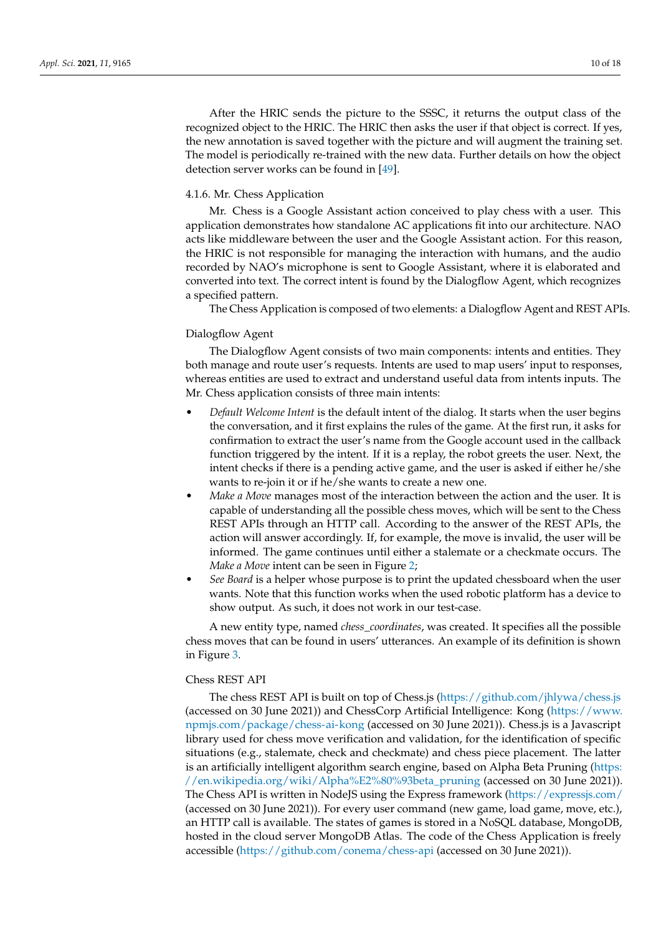After the HRIC sends the picture to the SSSC, it returns the output class of the recognized object to the HRIC. The HRIC then asks the user if that object is correct. If yes, the new annotation is saved together with the picture and will augment the training set. The model is periodically re-trained with the new data. Further details on how the object detection server works can be found in [\[49\]](#page-16-15).

# 4.1.6. Mr. Chess Application

Mr. Chess is a Google Assistant action conceived to play chess with a user. This application demonstrates how standalone AC applications fit into our architecture. NAO acts like middleware between the user and the Google Assistant action. For this reason, the HRIC is not responsible for managing the interaction with humans, and the audio recorded by NAO's microphone is sent to Google Assistant, where it is elaborated and converted into text. The correct intent is found by the Dialogflow Agent, which recognizes a specified pattern.

The Chess Application is composed of two elements: a Dialogflow Agent and REST APIs.

# Dialogflow Agent

The Dialogflow Agent consists of two main components: intents and entities. They both manage and route user's requests. Intents are used to map users' input to responses, whereas entities are used to extract and understand useful data from intents inputs. The Mr. Chess application consists of three main intents:

- *Default Welcome Intent* is the default intent of the dialog. It starts when the user begins the conversation, and it first explains the rules of the game. At the first run, it asks for confirmation to extract the user's name from the Google account used in the callback function triggered by the intent. If it is a replay, the robot greets the user. Next, the intent checks if there is a pending active game, and the user is asked if either he/she wants to re-join it or if he/she wants to create a new one.
- *Make a Move* manages most of the interaction between the action and the user. It is capable of understanding all the possible chess moves, which will be sent to the Chess REST APIs through an HTTP call. According to the answer of the REST APIs, the action will answer accordingly. If, for example, the move is invalid, the user will be informed. The game continues until either a stalemate or a checkmate occurs. The *Make a Move* intent can be seen in Figure [2;](#page-10-1)
- *See Board* is a helper whose purpose is to print the updated chessboard when the user wants. Note that this function works when the used robotic platform has a device to show output. As such, it does not work in our test-case.

A new entity type, named *chess\_coordinates*, was created. It specifies all the possible chess moves that can be found in users' utterances. An example of its definition is shown in Figure [3.](#page-10-2)

# Chess REST API

The chess REST API is built on top of Chess.js [\(https://github.com/jhlywa/chess.js](https://github.com/jhlywa/chess.js) (accessed on 30 June 2021)) and ChessCorp Artificial Intelligence: Kong [\(https://www.](https://www.npmjs.com/package/chess-ai-kong) [npmjs.com/package/chess-ai-kong](https://www.npmjs.com/package/chess-ai-kong) (accessed on 30 June 2021)). Chess.js is a Javascript library used for chess move verification and validation, for the identification of specific situations (e.g., stalemate, check and checkmate) and chess piece placement. The latter is an artificially intelligent algorithm search engine, based on Alpha Beta Pruning [\(https:](https://en.wikipedia.org/wiki/Alpha%E2%80%93beta_pruning) [//en.wikipedia.org/wiki/Alpha%E2%80%93beta\\_pruning](https://en.wikipedia.org/wiki/Alpha%E2%80%93beta_pruning) (accessed on 30 June 2021)). The Chess API is written in NodeJS using the Express framework [\(https://expressjs.com/](https://expressjs.com/) (accessed on 30 June 2021)). For every user command (new game, load game, move, etc.), an HTTP call is available. The states of games is stored in a NoSQL database, MongoDB, hosted in the cloud server MongoDB Atlas. The code of the Chess Application is freely accessible [\(https://github.com/conema/chess-api](https://github.com/conema/chess-api) (accessed on 30 June 2021)).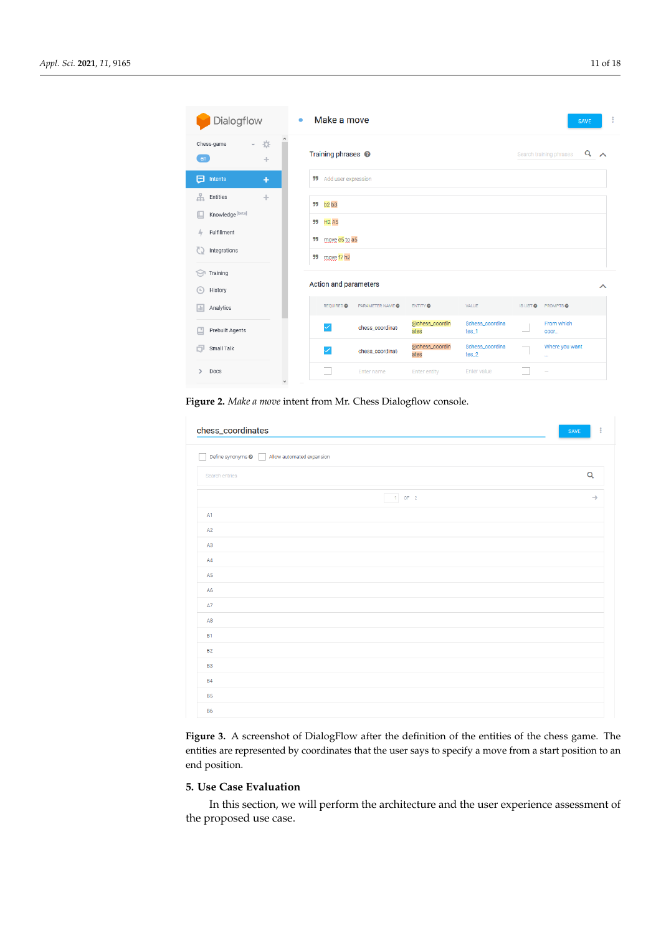<span id="page-10-1"></span>

| Dialogflow                                                                                            | Make a move<br>۰                                                                 |                                                      | ÷<br><b>SAVE</b>                          |
|-------------------------------------------------------------------------------------------------------|----------------------------------------------------------------------------------|------------------------------------------------------|-------------------------------------------|
| $\hat{}$<br>烧<br>Chess-game<br>$\mathbf{v}$ .<br>en<br>÷                                              | Training phrases <sup>@</sup>                                                    |                                                      | Q<br>Search training phrases<br>$\lambda$ |
| ⊟<br>Intents<br>÷                                                                                     | <b>55</b> Add user expression                                                    |                                                      |                                           |
| å.<br>Entities<br>÷<br>Knowledge [beta]<br>Fulfillment<br>hy.<br>Integrations<br>C)<br>Training<br>17 | <b>55</b> b2 b3<br><b>H2 A5</b><br>99<br>moye c5 to a5<br>55<br>99<br>move f7 h2 |                                                      |                                           |
| History<br>$\left( 1\right)$                                                                          | Action and parameters                                                            |                                                      | ᄉ                                         |
| Analytics<br>$\vert$                                                                                  | PARAMETER NAME @<br>REQUIRED @                                                   | VALUE<br>ENTITY <sup>O</sup>                         | IS LIST @ PROMPTS @                       |
| Prebuilt Agents<br>Ľ                                                                                  | chess coordinati                                                                 | @chess_coordin<br>Schess_coordina<br>tes_1<br>ates   | From which<br>coor                        |
| Small Talk<br>a                                                                                       | ✓<br>chess coordinati                                                            | @chess_coordin<br>Schess_coordina<br>$tes_2$<br>ates | Where you want<br>$\mathbf{r}$            |
| Docs<br>⋋<br>$\checkmark$                                                                             | Enter name                                                                       | Enter value<br><b>Enter entity</b>                   |                                           |

**Figure 2.** *Make a move* intent from Mr. Chess Dialogflow console.

<span id="page-10-2"></span>

| chess_coordinates                                    | <b>SAVE</b>   |
|------------------------------------------------------|---------------|
| Define synonyms @   Allow automated expansion<br>- 1 |               |
| Search entries                                       | $\alpha$      |
| $1$ OF 2                                             | $\rightarrow$ |
| A1                                                   |               |
| A2                                                   |               |
| A3                                                   |               |
| AA                                                   |               |
| A <sub>5</sub>                                       |               |
| A <sub>6</sub>                                       |               |
| A7                                                   |               |
| A <sub>8</sub>                                       |               |
| <b>B1</b>                                            |               |
| <b>B2</b>                                            |               |
| B <sub>3</sub>                                       |               |
| <b>B4</b>                                            |               |
| <b>B5</b>                                            |               |
| <b>B6</b>                                            |               |

**Figure 3.** A screenshot of DialogFlow after the definition of the entities of the chess game. The entities are represented by coordinates that the user says to specify a move from a start position to an end position.

# <span id="page-10-0"></span>**5. Use Case Evaluation**

In this section, we will perform the architecture and the user experience assessment of the proposed use case.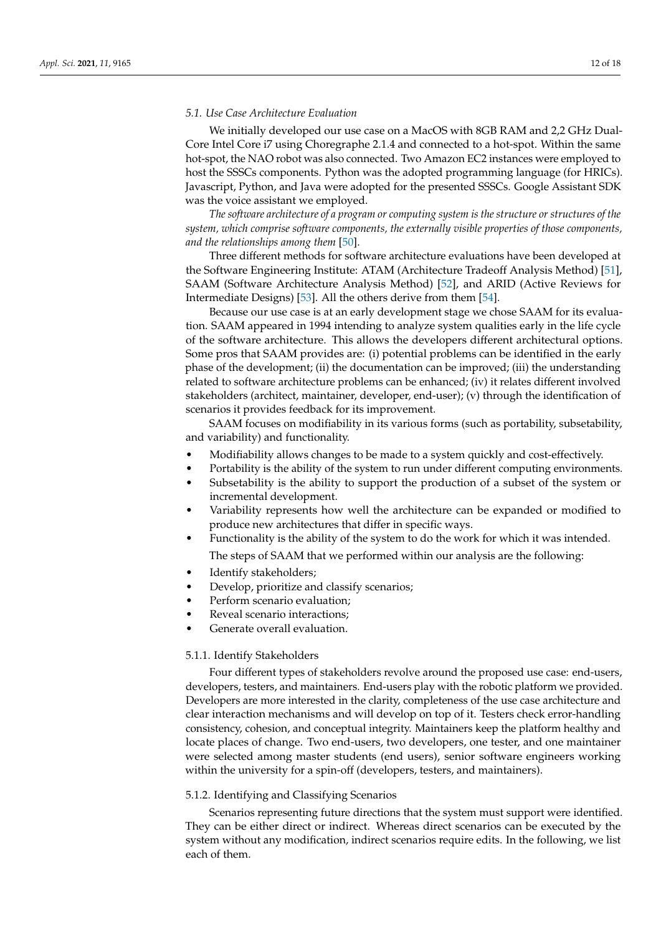# *5.1. Use Case Architecture Evaluation*

We initially developed our use case on a MacOS with 8GB RAM and 2,2 GHz Dual-Core Intel Core i7 using Choregraphe 2.1.4 and connected to a hot-spot. Within the same hot-spot, the NAO robot was also connected. Two Amazon EC2 instances were employed to host the SSSCs components. Python was the adopted programming language (for HRICs). Javascript, Python, and Java were adopted for the presented SSSCs. Google Assistant SDK was the voice assistant we employed.

*The software architecture of a program or computing system is the structure or structures of the system, which comprise software components, the externally visible properties of those components, and the relationships among them* [\[50\]](#page-16-16).

Three different methods for software architecture evaluations have been developed at the Software Engineering Institute: ATAM (Architecture Tradeoff Analysis Method) [\[51\]](#page-17-0), SAAM (Software Architecture Analysis Method) [\[52\]](#page-17-1), and ARID (Active Reviews for Intermediate Designs) [\[53\]](#page-17-2). All the others derive from them [\[54\]](#page-17-3).

Because our use case is at an early development stage we chose SAAM for its evaluation. SAAM appeared in 1994 intending to analyze system qualities early in the life cycle of the software architecture. This allows the developers different architectural options. Some pros that SAAM provides are: (i) potential problems can be identified in the early phase of the development; (ii) the documentation can be improved; (iii) the understanding related to software architecture problems can be enhanced; (iv) it relates different involved stakeholders (architect, maintainer, developer, end-user); (v) through the identification of scenarios it provides feedback for its improvement.

SAAM focuses on modifiability in its various forms (such as portability, subsetability, and variability) and functionality.

- Modifiability allows changes to be made to a system quickly and cost-effectively.
- Portability is the ability of the system to run under different computing environments.
- Subsetability is the ability to support the production of a subset of the system or incremental development.
- Variability represents how well the architecture can be expanded or modified to produce new architectures that differ in specific ways.
- Functionality is the ability of the system to do the work for which it was intended.

The steps of SAAM that we performed within our analysis are the following:

- Identify stakeholders;
- Develop, prioritize and classify scenarios;
- Perform scenario evaluation;
- Reveal scenario interactions:
- Generate overall evaluation.

# 5.1.1. Identify Stakeholders

Four different types of stakeholders revolve around the proposed use case: end-users, developers, testers, and maintainers. End-users play with the robotic platform we provided. Developers are more interested in the clarity, completeness of the use case architecture and clear interaction mechanisms and will develop on top of it. Testers check error-handling consistency, cohesion, and conceptual integrity. Maintainers keep the platform healthy and locate places of change. Two end-users, two developers, one tester, and one maintainer were selected among master students (end users), senior software engineers working within the university for a spin-off (developers, testers, and maintainers).

# 5.1.2. Identifying and Classifying Scenarios

Scenarios representing future directions that the system must support were identified. They can be either direct or indirect. Whereas direct scenarios can be executed by the system without any modification, indirect scenarios require edits. In the following, we list each of them.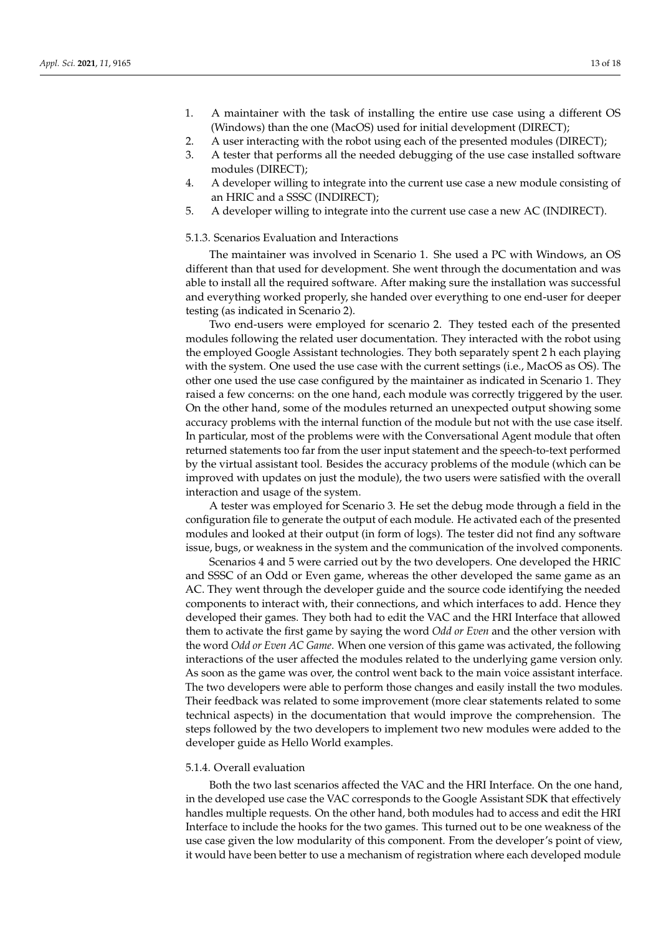- 1. A maintainer with the task of installing the entire use case using a different OS (Windows) than the one (MacOS) used for initial development (DIRECT);
- 2. A user interacting with the robot using each of the presented modules (DIRECT);
- 3. A tester that performs all the needed debugging of the use case installed software modules (DIRECT);
- 4. A developer willing to integrate into the current use case a new module consisting of an HRIC and a SSSC (INDIRECT);
- 5. A developer willing to integrate into the current use case a new AC (INDIRECT).

# 5.1.3. Scenarios Evaluation and Interactions

The maintainer was involved in Scenario 1. She used a PC with Windows, an OS different than that used for development. She went through the documentation and was able to install all the required software. After making sure the installation was successful and everything worked properly, she handed over everything to one end-user for deeper testing (as indicated in Scenario 2).

Two end-users were employed for scenario 2. They tested each of the presented modules following the related user documentation. They interacted with the robot using the employed Google Assistant technologies. They both separately spent 2 h each playing with the system. One used the use case with the current settings (i.e., MacOS as OS). The other one used the use case configured by the maintainer as indicated in Scenario 1. They raised a few concerns: on the one hand, each module was correctly triggered by the user. On the other hand, some of the modules returned an unexpected output showing some accuracy problems with the internal function of the module but not with the use case itself. In particular, most of the problems were with the Conversational Agent module that often returned statements too far from the user input statement and the speech-to-text performed by the virtual assistant tool. Besides the accuracy problems of the module (which can be improved with updates on just the module), the two users were satisfied with the overall interaction and usage of the system.

A tester was employed for Scenario 3. He set the debug mode through a field in the configuration file to generate the output of each module. He activated each of the presented modules and looked at their output (in form of logs). The tester did not find any software issue, bugs, or weakness in the system and the communication of the involved components.

Scenarios 4 and 5 were carried out by the two developers. One developed the HRIC and SSSC of an Odd or Even game, whereas the other developed the same game as an AC. They went through the developer guide and the source code identifying the needed components to interact with, their connections, and which interfaces to add. Hence they developed their games. They both had to edit the VAC and the HRI Interface that allowed them to activate the first game by saying the word *Odd or Even* and the other version with the word *Odd or Even AC Game*. When one version of this game was activated, the following interactions of the user affected the modules related to the underlying game version only. As soon as the game was over, the control went back to the main voice assistant interface. The two developers were able to perform those changes and easily install the two modules. Their feedback was related to some improvement (more clear statements related to some technical aspects) in the documentation that would improve the comprehension. The steps followed by the two developers to implement two new modules were added to the developer guide as Hello World examples.

#### 5.1.4. Overall evaluation

Both the two last scenarios affected the VAC and the HRI Interface. On the one hand, in the developed use case the VAC corresponds to the Google Assistant SDK that effectively handles multiple requests. On the other hand, both modules had to access and edit the HRI Interface to include the hooks for the two games. This turned out to be one weakness of the use case given the low modularity of this component. From the developer's point of view, it would have been better to use a mechanism of registration where each developed module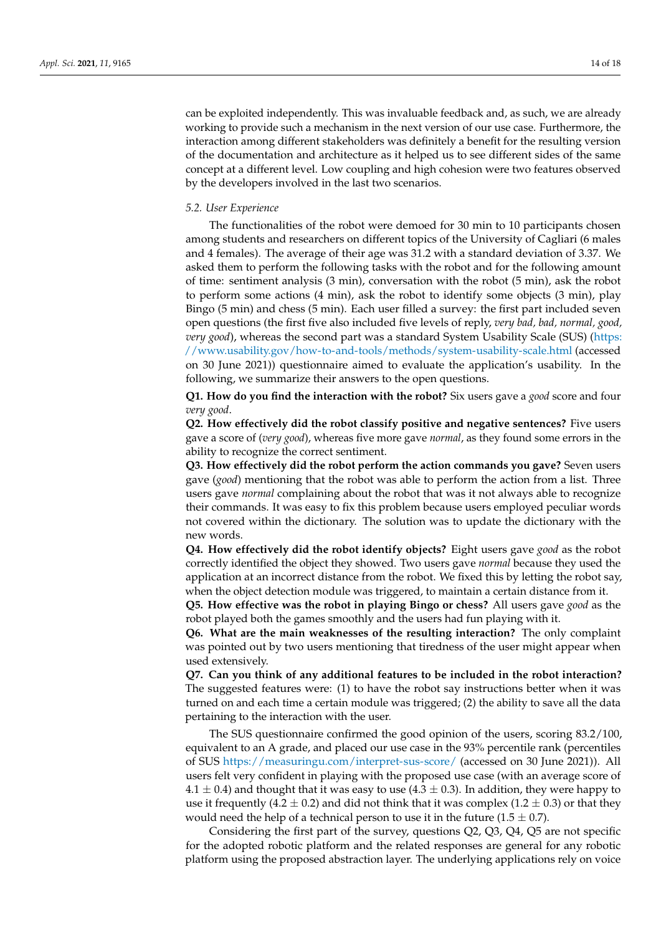can be exploited independently. This was invaluable feedback and, as such, we are already working to provide such a mechanism in the next version of our use case. Furthermore, the interaction among different stakeholders was definitely a benefit for the resulting version of the documentation and architecture as it helped us to see different sides of the same concept at a different level. Low coupling and high cohesion were two features observed by the developers involved in the last two scenarios.

### *5.2. User Experience*

The functionalities of the robot were demoed for 30 min to 10 participants chosen among students and researchers on different topics of the University of Cagliari (6 males and 4 females). The average of their age was 31.2 with a standard deviation of 3.37. We asked them to perform the following tasks with the robot and for the following amount of time: sentiment analysis (3 min), conversation with the robot (5 min), ask the robot to perform some actions (4 min), ask the robot to identify some objects (3 min), play Bingo (5 min) and chess (5 min). Each user filled a survey: the first part included seven open questions (the first five also included five levels of reply, *very bad, bad, normal, good, very good*), whereas the second part was a standard System Usability Scale (SUS) [\(https:](https://www.usability.gov/how-to-and-tools/methods/system-usability-scale.html) [//www.usability.gov/how-to-and-tools/methods/system-usability-scale.html](https://www.usability.gov/how-to-and-tools/methods/system-usability-scale.html) (accessed on 30 June 2021)) questionnaire aimed to evaluate the application's usability. In the following, we summarize their answers to the open questions.

**Q1. How do you find the interaction with the robot?** Six users gave a *good* score and four *very good*.

**Q2. How effectively did the robot classify positive and negative sentences?** Five users gave a score of (*very good*), whereas five more gave *normal*, as they found some errors in the ability to recognize the correct sentiment.

**Q3. How effectively did the robot perform the action commands you gave?** Seven users gave (*good*) mentioning that the robot was able to perform the action from a list. Three users gave *normal* complaining about the robot that was it not always able to recognize their commands. It was easy to fix this problem because users employed peculiar words not covered within the dictionary. The solution was to update the dictionary with the new words.

**Q4. How effectively did the robot identify objects?** Eight users gave *good* as the robot correctly identified the object they showed. Two users gave *normal* because they used the application at an incorrect distance from the robot. We fixed this by letting the robot say, when the object detection module was triggered, to maintain a certain distance from it.

**Q5. How effective was the robot in playing Bingo or chess?** All users gave *good* as the robot played both the games smoothly and the users had fun playing with it.

**Q6. What are the main weaknesses of the resulting interaction?** The only complaint was pointed out by two users mentioning that tiredness of the user might appear when used extensively.

**Q7. Can you think of any additional features to be included in the robot interaction?** The suggested features were: (1) to have the robot say instructions better when it was turned on and each time a certain module was triggered; (2) the ability to save all the data pertaining to the interaction with the user.

The SUS questionnaire confirmed the good opinion of the users, scoring 83.2/100, equivalent to an A grade, and placed our use case in the 93% percentile rank (percentiles of SUS <https://measuringu.com/interpret-sus-score/> (accessed on 30 June 2021)). All users felt very confident in playing with the proposed use case (with an average score of 4.1  $\pm$  0.4) and thought that it was easy to use (4.3  $\pm$  0.3). In addition, they were happy to use it frequently (4.2  $\pm$  0.2) and did not think that it was complex (1.2  $\pm$  0.3) or that they would need the help of a technical person to use it in the future  $(1.5 \pm 0.7)$ .

Considering the first part of the survey, questions Q2, Q3, Q4, Q5 are not specific for the adopted robotic platform and the related responses are general for any robotic platform using the proposed abstraction layer. The underlying applications rely on voice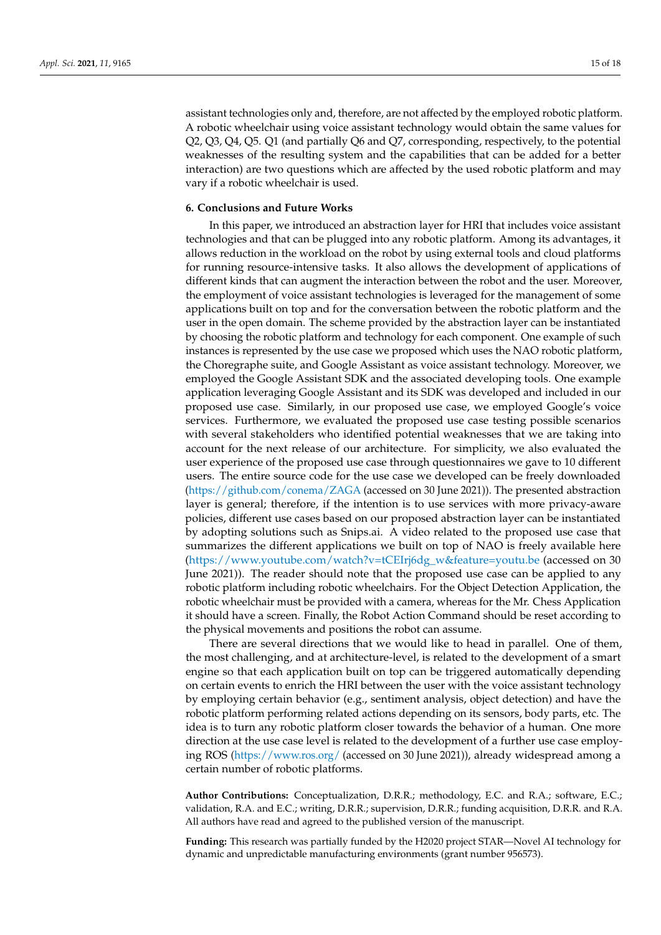assistant technologies only and, therefore, are not affected by the employed robotic platform. A robotic wheelchair using voice assistant technology would obtain the same values for Q2, Q3, Q4, Q5. Q1 (and partially Q6 and Q7, corresponding, respectively, to the potential weaknesses of the resulting system and the capabilities that can be added for a better interaction) are two questions which are affected by the used robotic platform and may vary if a robotic wheelchair is used.

### <span id="page-14-0"></span>**6. Conclusions and Future Works**

In this paper, we introduced an abstraction layer for HRI that includes voice assistant technologies and that can be plugged into any robotic platform. Among its advantages, it allows reduction in the workload on the robot by using external tools and cloud platforms for running resource-intensive tasks. It also allows the development of applications of different kinds that can augment the interaction between the robot and the user. Moreover, the employment of voice assistant technologies is leveraged for the management of some applications built on top and for the conversation between the robotic platform and the user in the open domain. The scheme provided by the abstraction layer can be instantiated by choosing the robotic platform and technology for each component. One example of such instances is represented by the use case we proposed which uses the NAO robotic platform, the Choregraphe suite, and Google Assistant as voice assistant technology. Moreover, we employed the Google Assistant SDK and the associated developing tools. One example application leveraging Google Assistant and its SDK was developed and included in our proposed use case. Similarly, in our proposed use case, we employed Google's voice services. Furthermore, we evaluated the proposed use case testing possible scenarios with several stakeholders who identified potential weaknesses that we are taking into account for the next release of our architecture. For simplicity, we also evaluated the user experience of the proposed use case through questionnaires we gave to 10 different users. The entire source code for the use case we developed can be freely downloaded [\(https://github.com/conema/ZAGA](https://github.com/conema/ZAGA) (accessed on 30 June 2021)). The presented abstraction layer is general; therefore, if the intention is to use services with more privacy-aware policies, different use cases based on our proposed abstraction layer can be instantiated by adopting solutions such as Snips.ai. A video related to the proposed use case that summarizes the different applications we built on top of NAO is freely available here [\(https://www.youtube.com/watch?v=tCEIrj6dg\\_w&feature=youtu.be](https://www.youtube.com/watch?v=tCEIrj6dg_w&feature=youtu.be) (accessed on 30 June 2021)). The reader should note that the proposed use case can be applied to any robotic platform including robotic wheelchairs. For the Object Detection Application, the robotic wheelchair must be provided with a camera, whereas for the Mr. Chess Application it should have a screen. Finally, the Robot Action Command should be reset according to the physical movements and positions the robot can assume.

There are several directions that we would like to head in parallel. One of them, the most challenging, and at architecture-level, is related to the development of a smart engine so that each application built on top can be triggered automatically depending on certain events to enrich the HRI between the user with the voice assistant technology by employing certain behavior (e.g., sentiment analysis, object detection) and have the robotic platform performing related actions depending on its sensors, body parts, etc. The idea is to turn any robotic platform closer towards the behavior of a human. One more direction at the use case level is related to the development of a further use case employing ROS [\(https://www.ros.org/](https://www.ros.org/) (accessed on 30 June 2021)), already widespread among a certain number of robotic platforms.

**Author Contributions:** Conceptualization, D.R.R.; methodology, E.C. and R.A.; software, E.C.; validation, R.A. and E.C.; writing, D.R.R.; supervision, D.R.R.; funding acquisition, D.R.R. and R.A. All authors have read and agreed to the published version of the manuscript.

**Funding:** This research was partially funded by the H2020 project STAR—Novel AI technology for dynamic and unpredictable manufacturing environments (grant number 956573).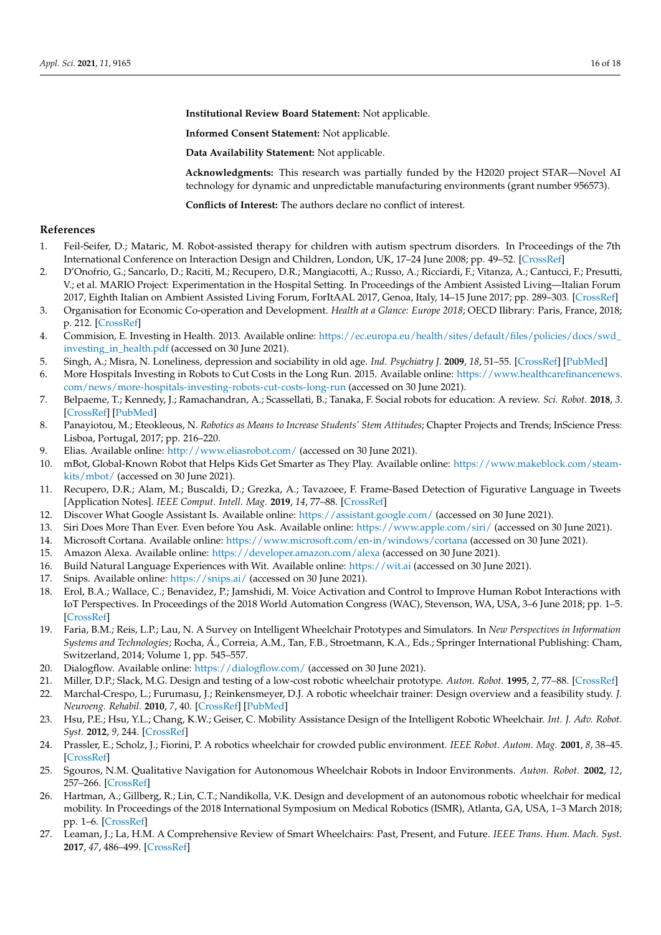**Institutional Review Board Statement:** Not applicable.

**Informed Consent Statement:** Not applicable.

**Data Availability Statement:** Not applicable.

**Acknowledgments:** This research was partially funded by the H2020 project STAR—Novel AI technology for dynamic and unpredictable manufacturing environments (grant number 956573).

**Conflicts of Interest:** The authors declare no conflict of interest.

### **References**

- <span id="page-15-0"></span>1. Feil-Seifer, D.; Mataric, M. Robot-assisted therapy for children with autism spectrum disorders. In Proceedings of the 7th International Conference on Interaction Design and Children, London, UK, 17–24 June 2008; pp. 49–52. [\[CrossRef\]](http://doi.org/10.1145/1463689.1463716)
- <span id="page-15-1"></span>2. D'Onofrio, G.; Sancarlo, D.; Raciti, M.; Recupero, D.R.; Mangiacotti, A.; Russo, A.; Ricciardi, F.; Vitanza, A.; Cantucci, F.; Presutti, V.; et al. MARIO Project: Experimentation in the Hospital Setting. In Proceedings of the Ambient Assisted Living—Italian Forum 2017, Eighth Italian on Ambient Assisted Living Forum, ForItAAL 2017, Genoa, Italy, 14–15 June 2017; pp. 289–303. [\[CrossRef\]](http://doi.org/10.1007/978-3-030-04672-9_20)
- <span id="page-15-2"></span>3. Organisation for Economic Co-operation and Development. *Health at a Glance: Europe 2018*; OECD Ilibrary: Paris, France, 2018; p. 212. [\[CrossRef\]](http://doi.org/10.1787/health_glance_eur-2018-en)
- <span id="page-15-3"></span>4. Commision, E. Investing in Health. 2013. Available online: https://ec.europa.eu/health/sites/default/files/policies/docs/swd investing in health.pdf (accessed on 30 June 2021).
- <span id="page-15-4"></span>5. Singh, A.; Misra, N. Loneliness, depression and sociability in old age. *Ind. Psychiatry J.* **2009**, *18*, 51–55. [\[CrossRef\]](http://doi.org/10.4103/0972-6748.57861) [\[PubMed\]](http://www.ncbi.nlm.nih.gov/pubmed/21234164)
- <span id="page-15-5"></span>6. More Hospitals Investing in Robots to Cut Costs in the Long Run. 2015. Available online: [https://www.healthcarefinancenews.](https://www.healthcarefinancenews.com/news/more-hospitals-investing-robots-cut-costs-long-run) [com/news/more-hospitals-investing-robots-cut-costs-long-run](https://www.healthcarefinancenews.com/news/more-hospitals-investing-robots-cut-costs-long-run) (accessed on 30 June 2021).
- <span id="page-15-6"></span>7. Belpaeme, T.; Kennedy, J.; Ramachandran, A.; Scassellati, B.; Tanaka, F. Social robots for education: A review. *Sci. Robot.* **2018**, *3*. [\[CrossRef\]](http://doi.org/10.1126/scirobotics.aat5954) [\[PubMed\]](http://www.ncbi.nlm.nih.gov/pubmed/33141719)
- <span id="page-15-7"></span>8. Panayiotou, M.; Eteokleous, N. *Robotics as Means to Increase Students' Stem Attitudes*; Chapter Projects and Trends; InScience Press: Lisboa, Portugal, 2017; pp. 216–220.
- <span id="page-15-8"></span>9. Elias. Available online: <http://www.eliasrobot.com/> (accessed on 30 June 2021).
- <span id="page-15-9"></span>10. mBot, Global-Known Robot that Helps Kids Get Smarter as They Play. Available online: [https://www.makeblock.com/steam](https://www.makeblock.com/steam-kits/mbot/)[kits/mbot/](https://www.makeblock.com/steam-kits/mbot/) (accessed on 30 June 2021).
- <span id="page-15-10"></span>11. Recupero, D.R.; Alam, M.; Buscaldi, D.; Grezka, A.; Tavazoee, F. Frame-Based Detection of Figurative Language in Tweets [Application Notes]. *IEEE Comput. Intell. Mag.* **2019**, *14*, 77–88. [\[CrossRef\]](http://doi.org/10.1109/MCI.2019.2937614)
- <span id="page-15-11"></span>12. Discover What Google Assistant Is. Available online: <https://assistant.google.com/> (accessed on 30 June 2021).
- <span id="page-15-12"></span>13. Siri Does More Than Ever. Even before You Ask. Available online: <https://www.apple.com/siri/> (accessed on 30 June 2021).
- <span id="page-15-13"></span>14. Microsoft Cortana. Available online: <https://www.microsoft.com/en-in/windows/cortana> (accessed on 30 June 2021).
- <span id="page-15-14"></span>15. Amazon Alexa. Available online: <https://developer.amazon.com/alexa> (accessed on 30 June 2021).
- <span id="page-15-15"></span>16. Build Natural Language Experiences with Wit. Available online: <https://wit.ai> (accessed on 30 June 2021).
- <span id="page-15-16"></span>17. Snips. Available online: <https://snips.ai/> (accessed on 30 June 2021).
- <span id="page-15-17"></span>18. Erol, B.A.; Wallace, C.; Benavidez, P.; Jamshidi, M. Voice Activation and Control to Improve Human Robot Interactions with IoT Perspectives. In Proceedings of the 2018 World Automation Congress (WAC), Stevenson, WA, USA, 3–6 June 2018; pp. 1–5. [\[CrossRef\]](http://doi.org/10.23919/WAC.2018.8430412)
- <span id="page-15-18"></span>19. Faria, B.M.; Reis, L.P.; Lau, N. A Survey on Intelligent Wheelchair Prototypes and Simulators. In *New Perspectives in Information Systems and Technologies*; Rocha, Á., Correia, A.M., Tan, F.B., Stroetmann, K.A., Eds.; Springer International Publishing: Cham, Switzerland, 2014; Volume 1, pp. 545–557.
- <span id="page-15-19"></span>20. Dialogflow. Available online: <https://dialogflow.com/> (accessed on 30 June 2021).
- <span id="page-15-20"></span>21. Miller, D.P.; Slack, M.G. Design and testing of a low-cost robotic wheelchair prototype. *Auton. Robot.* **1995**, *2*, 77–88. [\[CrossRef\]](http://doi.org/10.1007/BF00735440)
- <span id="page-15-21"></span>22. Marchal-Crespo, L.; Furumasu, J.; Reinkensmeyer, D.J. A robotic wheelchair trainer: Design overview and a feasibility study. *J. Neuroeng. Rehabil.* **2010**, *7*, 40. [\[CrossRef\]](http://doi.org/10.1186/1743-0003-7-40) [\[PubMed\]](http://www.ncbi.nlm.nih.gov/pubmed/20707886)
- <span id="page-15-22"></span>23. Hsu, P.E.; Hsu, Y.L.; Chang, K.W.; Geiser, C. Mobility Assistance Design of the Intelligent Robotic Wheelchair. *Int. J. Adv. Robot. Syst.* **2012**, *9*, 244. [\[CrossRef\]](http://doi.org/10.5772/54819)
- <span id="page-15-23"></span>24. Prassler, E.; Scholz, J.; Fiorini, P. A robotics wheelchair for crowded public environment. *IEEE Robot. Autom. Mag.* **2001**, *8*, 38–45. [\[CrossRef\]](http://doi.org/10.1109/100.924358)
- <span id="page-15-24"></span>25. Sgouros, N.M. Qualitative Navigation for Autonomous Wheelchair Robots in Indoor Environments. *Auton. Robot.* **2002**, *12*, 257–266. [\[CrossRef\]](http://doi.org/10.1023/A:1015265514820)
- <span id="page-15-25"></span>26. Hartman, A.; Gillberg, R.; Lin, C.T.; Nandikolla, V.K. Design and development of an autonomous robotic wheelchair for medical mobility. In Proceedings of the 2018 International Symposium on Medical Robotics (ISMR), Atlanta, GA, USA, 1–3 March 2018; pp. 1–6. [\[CrossRef\]](http://doi.org/10.1109/ISMR.2018.8333288)
- <span id="page-15-26"></span>27. Leaman, J.; La, H.M. A Comprehensive Review of Smart Wheelchairs: Past, Present, and Future. *IEEE Trans. Hum. Mach. Syst.* **2017**, *47*, 486–499. [\[CrossRef\]](http://doi.org/10.1109/THMS.2017.2706727)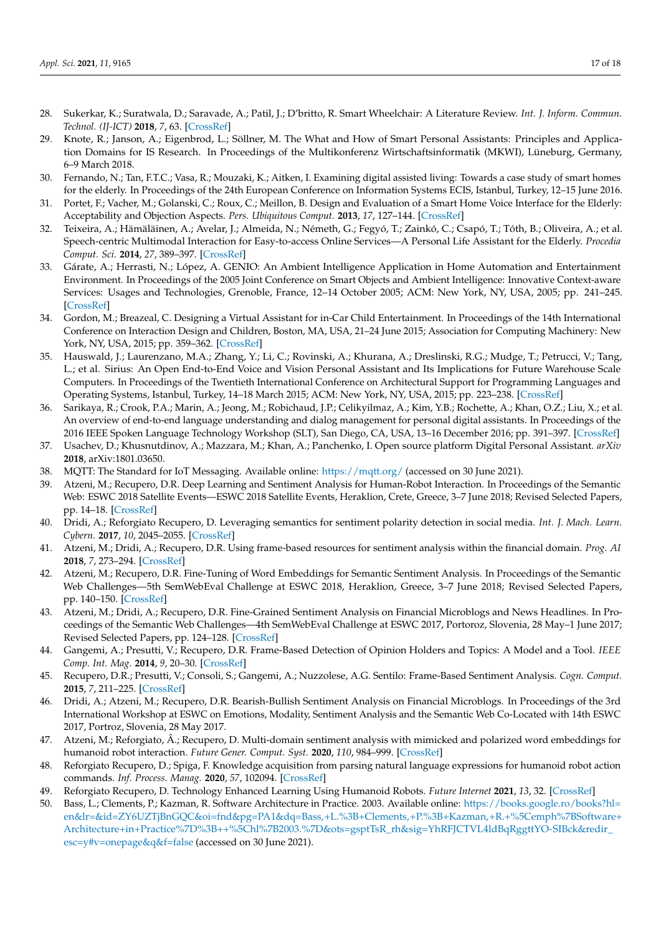- <span id="page-16-0"></span>28. Sukerkar, K.; Suratwala, D.; Saravade, A.; Patil, J.; D'britto, R. Smart Wheelchair: A Literature Review. *Int. J. Inform. Commun. Technol. (IJ-ICT)* **2018**, *7*, 63. [\[CrossRef\]](http://doi.org/10.11591/ijict.v7i2.pp63-66)
- <span id="page-16-1"></span>29. Knote, R.; Janson, A.; Eigenbrod, L.; Söllner, M. The What and How of Smart Personal Assistants: Principles and Application Domains for IS Research. In Proceedings of the Multikonferenz Wirtschaftsinformatik (MKWI), Lüneburg, Germany, 6–9 March 2018.
- <span id="page-16-2"></span>30. Fernando, N.; Tan, F.T.C.; Vasa, R.; Mouzaki, K.; Aitken, I. Examining digital assisted living: Towards a case study of smart homes for the elderly. In Proceedings of the 24th European Conference on Information Systems ECIS, Istanbul, Turkey, 12–15 June 2016.
- <span id="page-16-3"></span>31. Portet, F.; Vacher, M.; Golanski, C.; Roux, C.; Meillon, B. Design and Evaluation of a Smart Home Voice Interface for the Elderly: Acceptability and Objection Aspects. *Pers. Ubiquitous Comput.* **2013**, *17*, 127–144. [\[CrossRef\]](http://doi.org/10.1007/s00779-011-0470-5)
- <span id="page-16-4"></span>32. Teixeira, A.; Hämäläinen, A.; Avelar, J.; Almeida, N.; Németh, G.; Fegyó, T.; Zainkó, C.; Csapó, T.; Tóth, B.; Oliveira, A.; et al. Speech-centric Multimodal Interaction for Easy-to-access Online Services—A Personal Life Assistant for the Elderly. *Procedia Comput. Sci.* **2014**, *27*, 389–397. [\[CrossRef\]](http://doi.org/10.1016/j.procs.2014.02.043)
- <span id="page-16-5"></span>33. Gárate, A.; Herrasti, N.; López, A. GENIO: An Ambient Intelligence Application in Home Automation and Entertainment Environment. In Proceedings of the 2005 Joint Conference on Smart Objects and Ambient Intelligence: Innovative Context-aware Services: Usages and Technologies, Grenoble, France, 12–14 October 2005; ACM: New York, NY, USA, 2005; pp. 241–245. [\[CrossRef\]](http://doi.org/10.1145/1107548.1107609)
- <span id="page-16-6"></span>34. Gordon, M.; Breazeal, C. Designing a Virtual Assistant for in-Car Child Entertainment. In Proceedings of the 14th International Conference on Interaction Design and Children, Boston, MA, USA, 21–24 June 2015; Association for Computing Machinery: New York, NY, USA, 2015; pp. 359–362. [\[CrossRef\]](http://doi.org/10.1145/2771839.2771916)
- <span id="page-16-7"></span>35. Hauswald, J.; Laurenzano, M.A.; Zhang, Y.; Li, C.; Rovinski, A.; Khurana, A.; Dreslinski, R.G.; Mudge, T.; Petrucci, V.; Tang, L.; et al. Sirius: An Open End-to-End Voice and Vision Personal Assistant and Its Implications for Future Warehouse Scale Computers. In Proceedings of the Twentieth International Conference on Architectural Support for Programming Languages and Operating Systems, Istanbul, Turkey, 14–18 March 2015; ACM: New York, NY, USA, 2015; pp. 223–238. [\[CrossRef\]](http://doi.org/10.1145/2694344.2694347)
- <span id="page-16-8"></span>36. Sarikaya, R.; Crook, P.A.; Marin, A.; Jeong, M.; Robichaud, J.P.; Celikyilmaz, A.; Kim, Y.B.; Rochette, A.; Khan, O.Z.; Liu, X.; et al. An overview of end-to-end language understanding and dialog management for personal digital assistants. In Proceedings of the 2016 IEEE Spoken Language Technology Workshop (SLT), San Diego, CA, USA, 13–16 December 2016; pp. 391–397. [\[CrossRef\]](http://doi.org/10.1109/SLT.2016.7846294)
- <span id="page-16-9"></span>37. Usachev, D.; Khusnutdinov, A.; Mazzara, M.; Khan, A.; Panchenko, I. Open source platform Digital Personal Assistant. *arXiv* **2018**, arXiv:1801.03650.
- <span id="page-16-10"></span>38. MQTT: The Standard for IoT Messaging. Available online: <https://mqtt.org/> (accessed on 30 June 2021).
- <span id="page-16-11"></span>39. Atzeni, M.; Recupero, D.R. Deep Learning and Sentiment Analysis for Human-Robot Interaction. In Proceedings of the Semantic Web: ESWC 2018 Satellite Events—ESWC 2018 Satellite Events, Heraklion, Crete, Greece, 3–7 June 2018; Revised Selected Papers, pp. 14–18. [\[CrossRef\]](http://doi.org/10.1007/978-3-319-98192-5_3)
- 40. Dridi, A.; Reforgiato Recupero, D. Leveraging semantics for sentiment polarity detection in social media. *Int. J. Mach. Learn. Cybern.* **2017**, *10*, 2045–2055. [\[CrossRef\]](http://doi.org/10.1007/s13042-017-0727-z)
- 41. Atzeni, M.; Dridi, A.; Recupero, D.R. Using frame-based resources for sentiment analysis within the financial domain. *Prog. AI* **2018**, *7*, 273–294. [\[CrossRef\]](http://doi.org/10.1007/s13748-018-0162-8)
- 42. Atzeni, M.; Recupero, D.R. Fine-Tuning of Word Embeddings for Semantic Sentiment Analysis. In Proceedings of the Semantic Web Challenges—5th SemWebEval Challenge at ESWC 2018, Heraklion, Greece, 3–7 June 2018; Revised Selected Papers, pp. 140–150. [\[CrossRef\]](http://doi.org/10.1007/978-3-030-00072-1_12)
- 43. Atzeni, M.; Dridi, A.; Recupero, D.R. Fine-Grained Sentiment Analysis on Financial Microblogs and News Headlines. In Proceedings of the Semantic Web Challenges—4th SemWebEval Challenge at ESWC 2017, Portoroz, Slovenia, 28 May–1 June 2017; Revised Selected Papers, pp. 124–128. [\[CrossRef\]](http://doi.org/10.1007/978-3-319-69146-6_11)
- 44. Gangemi, A.; Presutti, V.; Recupero, D.R. Frame-Based Detection of Opinion Holders and Topics: A Model and a Tool. *IEEE Comp. Int. Mag.* **2014**, *9*, 20–30. [\[CrossRef\]](http://doi.org/10.1109/MCI.2013.2291688)
- 45. Recupero, D.R.; Presutti, V.; Consoli, S.; Gangemi, A.; Nuzzolese, A.G. Sentilo: Frame-Based Sentiment Analysis. *Cogn. Comput.* **2015**, *7*, 211–225. [\[CrossRef\]](http://doi.org/10.1007/s12559-014-9302-z)
- <span id="page-16-12"></span>46. Dridi, A.; Atzeni, M.; Recupero, D.R. Bearish-Bullish Sentiment Analysis on Financial Microblogs. In Proceedings of the 3rd International Workshop at ESWC on Emotions, Modality, Sentiment Analysis and the Semantic Web Co-Located with 14th ESWC 2017, Portroz, Slovenia, 28 May 2017.
- <span id="page-16-13"></span>47. Atzeni, M.; Reforgiato, Â.; Recupero, D. Multi-domain sentiment analysis with mimicked and polarized word embeddings for humanoid robot interaction. *Future Gener. Comput. Syst.* **2020**, *110*, 984–999. [\[CrossRef\]](http://doi.org/10.1016/j.future.2019.10.012)
- <span id="page-16-14"></span>48. Reforgiato Recupero, D.; Spiga, F. Knowledge acquisition from parsing natural language expressions for humanoid robot action commands. *Inf. Process. Manag.* **2020**, *57*, 102094. [\[CrossRef\]](http://doi.org/10.1016/j.ipm.2019.102094)
- <span id="page-16-15"></span>49. Reforgiato Recupero, D. Technology Enhanced Learning Using Humanoid Robots. *Future Internet* **2021**, *13*, 32. [\[CrossRef\]](http://doi.org/10.3390/fi13020032)
- <span id="page-16-16"></span>50. Bass, L.; Clements, P.; Kazman, R. Software Architecture in Practice. 2003. Available online: [https://books.google.ro/books?hl=](https://books.google.ro/books?hl=en&lr=&id=ZY6UZTjBnGQC&oi=fnd&pg=PA1&dq=Bass,+L.%3B+Clements,+P.%3B+Kazman,+R.+%5Cemph%7BSoftware+Architecture+in+Practice%7D%3B++%5Chl%7B2003.%7D&ots=gsptTsR_rh&sig=YhRFJCTVL4ldBqRggttYO-SIBck&redir_esc=y#v=onepage&q&f=false) [en&lr=&id=ZY6UZTjBnGQC&oi=fnd&pg=PA1&dq=Bass,+L.%3B+Clements,+P.%3B+Kazman,+R.+%5Cemph%7BSoftware+](https://books.google.ro/books?hl=en&lr=&id=ZY6UZTjBnGQC&oi=fnd&pg=PA1&dq=Bass,+L.%3B+Clements,+P.%3B+Kazman,+R.+%5Cemph%7BSoftware+Architecture+in+Practice%7D%3B++%5Chl%7B2003.%7D&ots=gsptTsR_rh&sig=YhRFJCTVL4ldBqRggttYO-SIBck&redir_esc=y#v=onepage&q&f=false) [Architecture+in+Practice%7D%3B++%5Chl%7B2003.%7D&ots=gsptTsR\\_rh&sig=YhRFJCTVL4ldBqRggttYO-SIBck&redir\\_](https://books.google.ro/books?hl=en&lr=&id=ZY6UZTjBnGQC&oi=fnd&pg=PA1&dq=Bass,+L.%3B+Clements,+P.%3B+Kazman,+R.+%5Cemph%7BSoftware+Architecture+in+Practice%7D%3B++%5Chl%7B2003.%7D&ots=gsptTsR_rh&sig=YhRFJCTVL4ldBqRggttYO-SIBck&redir_esc=y#v=onepage&q&f=false) [esc=y#v=onepage&q&f=false](https://books.google.ro/books?hl=en&lr=&id=ZY6UZTjBnGQC&oi=fnd&pg=PA1&dq=Bass,+L.%3B+Clements,+P.%3B+Kazman,+R.+%5Cemph%7BSoftware+Architecture+in+Practice%7D%3B++%5Chl%7B2003.%7D&ots=gsptTsR_rh&sig=YhRFJCTVL4ldBqRggttYO-SIBck&redir_esc=y#v=onepage&q&f=false) (accessed on 30 June 2021).